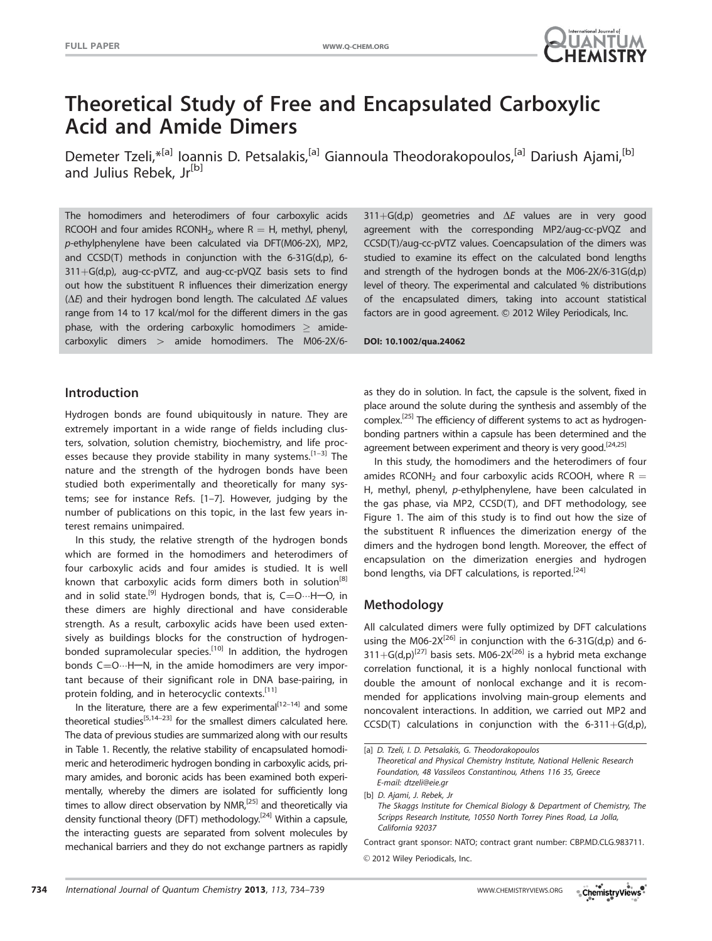

# Theoretical Study of Free and Encapsulated Carboxylic Acid and Amide Dimers

Demeter Tzeli,\*<sup>[a]</sup> Ioannis D. Petsalakis,<sup>[a]</sup> Giannoula Theodorakopoulos,<sup>[a]</sup> Dariush Ajami,<sup>[b]</sup> and Julius Rebek, Jr<sup>[b]</sup>

The homodimers and heterodimers of four carboxylic acids RCOOH and four amides RCONH<sub>2</sub>, where  $R = H$ , methyl, phenyl, p-ethylphenylene have been calculated via DFT(M06-2X), MP2, and CCSD(T) methods in conjunction with the 6-31G(d,p), 6-  $311+G(d,p)$ , aug-cc-pVTZ, and aug-cc-pVQZ basis sets to find out how the substituent R influences their dimerization energy ( $\Delta E$ ) and their hydrogen bond length. The calculated  $\Delta E$  values range from 14 to 17 kcal/mol for the different dimers in the gas phase, with the ordering carboxylic homodimers  $\geq$  amidecarboxylic dimers  $>$  amide homodimers. The M06-2X/6-

Introduction

Hydrogen bonds are found ubiquitously in nature. They are extremely important in a wide range of fields including clusters, solvation, solution chemistry, biochemistry, and life processes because they provide stability in many systems.  $[1-3]$  The nature and the strength of the hydrogen bonds have been studied both experimentally and theoretically for many systems; see for instance Refs. [1–7]. However, judging by the number of publications on this topic, in the last few years interest remains unimpaired.

In this study, the relative strength of the hydrogen bonds which are formed in the homodimers and heterodimers of four carboxylic acids and four amides is studied. It is well known that carboxylic acids form dimers both in solution<sup>[8]</sup> and in solid state.<sup>[9]</sup> Hydrogen bonds, that is, C=O $\cdots$ H-O, in these dimers are highly directional and have considerable strength. As a result, carboxylic acids have been used extensively as buildings blocks for the construction of hydrogenbonded supramolecular species.<sup>[10]</sup> In addition, the hydrogen bonds  $C = 0 \cdots H - N$ , in the amide homodimers are very important because of their significant role in DNA base-pairing, in protein folding, and in heterocyclic contexts.<sup>[11]</sup>

In the literature, there are a few experimental $[12-14]$  and some theoretical studies<sup>[5,14–23]</sup> for the smallest dimers calculated here. The data of previous studies are summarized along with our results in Table 1. Recently, the relative stability of encapsulated homodimeric and heterodimeric hydrogen bonding in carboxylic acids, primary amides, and boronic acids has been examined both experimentally, whereby the dimers are isolated for sufficiently long times to allow direct observation by NMR,<sup>[25]</sup> and theoretically via density functional theory (DFT) methodology.<sup>[24]</sup> Within a capsule, the interacting guests are separated from solvent molecules by mechanical barriers and they do not exchange partners as rapidly

 $311+G(d,p)$  geometries and  $\Delta E$  values are in very good agreement with the corresponding MP2/aug-cc-pVQZ and CCSD(T)/aug-cc-pVTZ values. Coencapsulation of the dimers was studied to examine its effect on the calculated bond lengths and strength of the hydrogen bonds at the M06-2X/6-31G(d,p) level of theory. The experimental and calculated % distributions of the encapsulated dimers, taking into account statistical factors are in good agreement. © 2012 Wiley Periodicals, Inc.

DOI: 10.1002/qua.24062

as they do in solution. In fact, the capsule is the solvent, fixed in place around the solute during the synthesis and assembly of the complex.<sup>[25]</sup> The efficiency of different systems to act as hydrogenbonding partners within a capsule has been determined and the agreement between experiment and theory is very good.<sup>[24,25]</sup>

In this study, the homodimers and the heterodimers of four amides RCONH<sub>2</sub> and four carboxylic acids RCOOH, where R  $=$ H, methyl, phenyl, p-ethylphenylene, have been calculated in the gas phase, via MP2, CCSD(T), and DFT methodology, see Figure 1. The aim of this study is to find out how the size of the substituent R influences the dimerization energy of the dimers and the hydrogen bond length. Moreover, the effect of encapsulation on the dimerization energies and hydrogen bond lengths, via DFT calculations, is reported.<sup>[24]</sup>

# Methodology

All calculated dimers were fully optimized by DFT calculations using the M06-2 $X^{[26]}$  in conjunction with the 6-31G(d,p) and 6- $311+G(d,p)^{[27]}$  basis sets. M06-2X<sup>[26]</sup> is a hybrid meta exchange correlation functional, it is a highly nonlocal functional with double the amount of nonlocal exchange and it is recommended for applications involving main-group elements and noncovalent interactions. In addition, we carried out MP2 and CCSD(T) calculations in conjunction with the 6-311+G(d,p),

Foundation, 48 Vassileos Constantinou, Athens 116 35, Greece E-mail: dtzeli@eie.gr

[b] D. Ajami, J. Rebek, Jr The Skaggs Institute for Chemical Biology & Department of Chemistry, The

Scripps Research Institute, 10550 North Torrey Pines Road, La Jolla, California 92037

Contract grant sponsor: NATO; contract grant number: CBP.MD.CLG.983711.

 $©$  2012 Wiley Periodicals, Inc.



<sup>[</sup>a] D. Tzeli, I. D. Petsalakis, G. Theodorakopoulos Theoretical and Physical Chemistry Institute, National Hellenic Research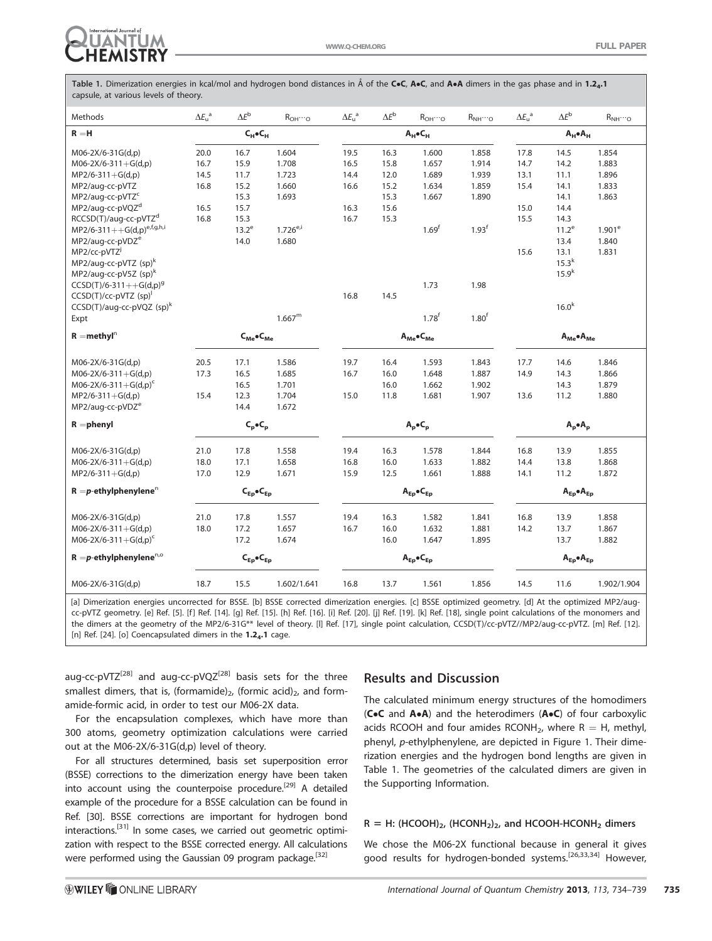

Table 1. Dimerization energies in kcal/mol and hydrogen bond distances in Å of the CoC, AoC, and AoA dimers in the gas phase and in 1.2<sub>4</sub>.1 capsule, at various levels of theory.

| Methods                                 | $\Delta E_{u}^{a}$ | $\Delta E^{\rm b}$          | $R_{OH}\cdots$ <sub>O</sub> | $\Delta E_{\rm u}^{\rm a}$ | $\Delta E^{\rm b}$ | $R_{OH}\cdots$ o  | $R_{\text{NH}}\cdots{}_{\text{O}}$ | $\Delta E_{u}^{a}$        | $\Delta E^{\rm b}$ | $R_{NH} \cdots$ o |
|-----------------------------------------|--------------------|-----------------------------|-----------------------------|----------------------------|--------------------|-------------------|------------------------------------|---------------------------|--------------------|-------------------|
| $R = H$                                 |                    | $C_H$ $C_H$                 |                             |                            | $A_H \bullet C_H$  |                   |                                    | $A_H \bullet A_H$         |                    |                   |
| M06-2X/6-31G(d,p)                       | 20.0               | 16.7                        | 1.604                       | 19.5                       | 16.3               | 1.600             | 1.858                              | 17.8                      | 14.5               | 1.854             |
| $M06-2X/6-311+G(d,p)$                   | 16.7               | 15.9                        | 1.708                       | 16.5                       | 15.8               | 1.657             | 1.914                              | 14.7                      | 14.2               | 1.883             |
| $MP2/6-311+G(d,p)$                      | 14.5               | 11.7                        | 1.723                       | 14.4                       | 12.0               | 1.689             | 1.939                              | 13.1                      | 11.1               | 1.896             |
| MP2/aug-cc-pVTZ                         | 16.8               | 15.2                        | 1.660                       | 16.6                       | 15.2               | 1.634             | 1.859                              | 15.4                      | 14.1               | 1.833             |
| MP2/aug-cc-pVTZ <sup>c</sup>            |                    | 15.3                        | 1.693                       |                            | 15.3               | 1.667             | 1.890                              |                           | 14.1               | 1.863             |
| MP2/aug-cc-pVQZ <sup>d</sup>            | 16.5               | 15.7                        |                             | 16.3                       | 15.6               |                   |                                    | 15.0                      | 14.4               |                   |
| RCCSD(T)/aug-cc-pVTZ <sup>d</sup>       | 16.8               | 15.3                        |                             | 16.7                       | 15.3               |                   |                                    | 15.5                      | 14.3               |                   |
| $MP2/6-311++G(d,p)^{e,f,g,h,i}$         |                    | $13.2^e$                    | $1.726^{e,i}$               |                            |                    | 1.69 <sup>f</sup> | 1.93 <sup>f</sup>                  |                           | $11.2^e$           | $1.901^e$         |
| MP2/aug-cc-pVDZ <sup>e</sup>            |                    | 14.0                        | 1.680                       |                            |                    |                   |                                    |                           | 13.4               | 1.840             |
| MP2/cc-pVTZ <sup>j</sup>                |                    |                             |                             |                            |                    |                   |                                    | 15.6                      | 13.1               | 1.831             |
| MP2/aug-cc-pVTZ (sp) <sup>k</sup>       |                    |                             |                             |                            |                    |                   |                                    |                           | $15.3^k$           |                   |
| MP2/aug-cc-pV5Z (sp) <sup>k</sup>       |                    |                             |                             |                            |                    |                   |                                    |                           | $15.9^{k}$         |                   |
| $CCSD(T)/6-311++G(d,p)^9$               |                    |                             |                             |                            |                    | 1.73              | 1.98                               |                           |                    |                   |
| $CCSD(T)/cc-pVTZ$ (sp) <sup>1</sup>     |                    |                             |                             | 16.8                       | 14.5               |                   |                                    |                           |                    |                   |
| $CCSD(T)/aug-cc-pVQZ$ (sp) <sup>k</sup> |                    |                             |                             |                            |                    |                   |                                    |                           | 16.0 <sup>k</sup>  |                   |
| Expt                                    |                    |                             | $1.667^{\rm m}$             |                            |                    | $1.78^{f}$        | 1.80 <sup>f</sup>                  |                           |                    |                   |
| $R =$ methyl $n$                        |                    | $C_{Me}$ $\bullet$ $C_{Me}$ |                             | $A_{Me}$ $C_{Me}$          |                    |                   | $A_{Me}$ $A_{Me}$                  |                           |                    |                   |
| M06-2X/6-31G(d,p)                       | 20.5               | 17.1                        | 1.586                       | 19.7                       | 16.4               | 1.593             | 1.843                              | 17.7                      | 14.6               | 1.846             |
| $M06-2X/6-311+G(d,p)$                   | 17.3               | 16.5                        | 1.685                       | 16.7                       | 16.0               | 1.648             | 1.887                              | 14.9                      | 14.3               | 1.866             |
| $M06-2X/6-311+G(d,p)^{c}$               |                    | 16.5                        | 1.701                       |                            | 16.0               | 1.662             | 1.902                              |                           | 14.3               | 1.879             |
| $MP2/6-311+G(d,p)$                      | 15.4               | 12.3                        | 1.704                       | 15.0                       | 11.8               | 1.681             | 1.907                              | 13.6                      | 11.2               | 1.880             |
| MP2/aug-cc-pVDZ <sup>e</sup>            |                    | 14.4                        | 1.672                       |                            |                    |                   |                                    |                           |                    |                   |
| $R =$ phenyl                            | $C_p \bullet C_p$  |                             | $A_p \bullet C_p$           |                            |                    | $A_p \bullet A_p$ |                                    |                           |                    |                   |
| M06-2X/6-31G(d,p)                       | 21.0               | 17.8                        | 1.558                       | 19.4                       | 16.3               | 1.578             | 1.844                              | 16.8                      | 13.9               | 1.855             |
| $M06-2X/6-311+G(d,p)$                   | 18.0               | 17.1                        | 1.658                       | 16.8                       | 16.0               | 1.633             | 1.882                              | 14.4                      | 13.8               | 1.868             |
| $MP2/6-311+G(d,p)$                      | 17.0               | 12.9                        | 1.671                       | 15.9                       | 12.5               | 1.661             | 1.888                              | 14.1                      | 11.2               | 1.872             |
| $R = p$ -ethylphenylene <sup>n</sup>    |                    | $C_{Ep}$ $C_{Ep}$           |                             | $A_{E_D} \bullet C_{E_D}$  |                    |                   |                                    | $A_{E_D} \bullet A_{E_D}$ |                    |                   |
| M06-2X/6-31G(d,p)                       | 21.0               | 17.8                        | 1.557                       | 19.4                       | 16.3               | 1.582             | 1.841                              | 16.8                      | 13.9               | 1.858             |
| $M06-2X/6-311+G(d,p)$                   | 18.0               | 17.2                        | 1.657                       | 16.7                       | 16.0               | 1.632             | 1.881                              | 14.2                      | 13.7               | 1.867             |
|                                         |                    |                             |                             |                            |                    |                   |                                    |                           |                    |                   |
| $M06-2X/6-311+G(d,p)^{c}$               |                    | 17.2                        | 1.674                       |                            | 16.0               | 1.647             | 1.895                              |                           | 13.7               | 1.882             |
| $R = p$ -ethylphenylene <sup>n,o</sup>  |                    | $C_{Ep}$ $C_{Ep}$           |                             | $A_{E_D}$ $C_{E_D}$        |                    |                   | $A_{E} \bullet A_{E}$              |                           |                    |                   |
| M06-2X/6-31G(d,p)                       | 18.7               | 15.5                        | 1.602/1.641                 | 16.8                       | 13.7               | 1.561             | 1.856                              | 14.5                      | 11.6               | 1.902/1.904       |

[a] Dimerization energies uncorrected for BSSE. [b] BSSE corrected dimerization energies. [c] BSSE optimized geometry. [d] At the optimized MP2/augcc-pVTZ geometry. [e] Ref. [5]. [f ] Ref. [14]. [g] Ref. [15]. [h] Ref. [16]. [i] Ref. [20]. [j] Ref. [19]. [k] Ref. [18], single point calculations of the monomers and the dimers at the geometry of the MP2/6-31G\*\* level of theory. [l] Ref. [17], single point calculation, CCSD(T)/cc-pVTZ//MP2/aug-cc-pVTZ. [m] Ref. [12]. [n] Ref. [24]. [o] Coencapsulated dimers in the  $1.2<sub>4</sub>$ .1 cage.

aug-cc-pVTZ<sup>[28]</sup> and aug-cc-pVQZ<sup>[28]</sup> basis sets for the three smallest dimers, that is, (formamide)<sub>2</sub>, (formic acid)<sub>2</sub>, and formamide-formic acid, in order to test our M06-2X data.

For the encapsulation complexes, which have more than 300 atoms, geometry optimization calculations were carried out at the M06-2X/6-31G(d,p) level of theory.

For all structures determined, basis set superposition error (BSSE) corrections to the dimerization energy have been taken into account using the counterpoise procedure.<sup>[29]</sup> A detailed example of the procedure for a BSSE calculation can be found in Ref. [30]. BSSE corrections are important for hydrogen bond interactions.<sup>[31]</sup> In some cases, we carried out geometric optimization with respect to the BSSE corrected energy. All calculations were performed using the Gaussian 09 program package.<sup>[32]</sup>

# Results and Discussion

The calculated minimum energy structures of the homodimers (C $\bullet$ C and  $A \bullet A$ ) and the heterodimers ( $A \bullet C$ ) of four carboxylic acids RCOOH and four amides RCONH<sub>2</sub>, where  $R = H$ , methyl, phenyl, p-ethylphenylene, are depicted in Figure 1. Their dimerization energies and the hydrogen bond lengths are given in Table 1. The geometries of the calculated dimers are given in the Supporting Information.

### $R = H$ : (HCOOH)<sub>2</sub>, (HCONH<sub>2</sub>)<sub>2</sub>, and HCOOH-HCONH<sub>2</sub> dimers

We chose the M06-2X functional because in general it gives good results for hydrogen-bonded systems.[26,33,34] However,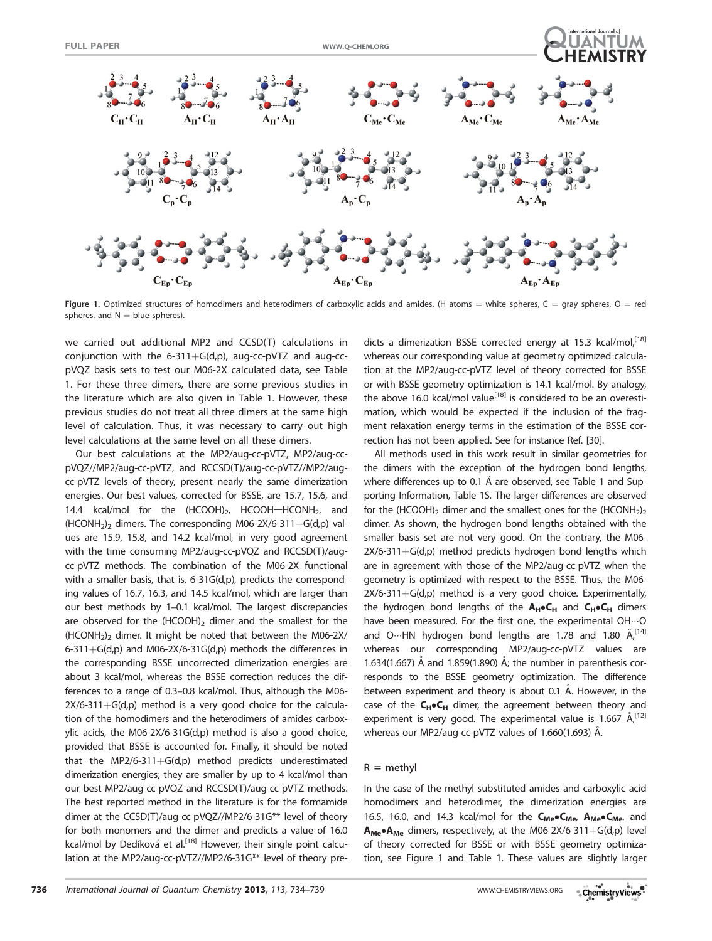

Figure 1. Optimized structures of homodimers and heterodimers of carboxylic acids and amides. (H atoms = white spheres, C = gray spheres, O = red spheres, and  $N =$  blue spheres).

we carried out additional MP2 and CCSD(T) calculations in conjunction with the 6-311+ $G(d,p)$ , aug-cc-pVTZ and aug-ccpVQZ basis sets to test our M06-2X calculated data, see Table 1. For these three dimers, there are some previous studies in the literature which are also given in Table 1. However, these previous studies do not treat all three dimers at the same high level of calculation. Thus, it was necessary to carry out high level calculations at the same level on all these dimers.

Our best calculations at the MP2/aug-cc-pVTZ, MP2/aug-ccpVQZ//MP2/aug-cc-pVTZ, and RCCSD(T)/aug-cc-pVTZ//MP2/augcc-pVTZ levels of theory, present nearly the same dimerization energies. Our best values, corrected for BSSE, are 15.7, 15.6, and 14.4 kcal/mol for the  $(HCOOH)_{2}$ , HCOOH-HCONH<sub>2</sub>, and (HCONH<sub>2</sub>)<sub>2</sub> dimers. The corresponding M06-2X/6-311+G(d,p) values are 15.9, 15.8, and 14.2 kcal/mol, in very good agreement with the time consuming MP2/aug-cc-pVQZ and RCCSD(T)/augcc-pVTZ methods. The combination of the M06-2X functional with a smaller basis, that is, 6-31G(d,p), predicts the corresponding values of 16.7, 16.3, and 14.5 kcal/mol, which are larger than our best methods by 1–0.1 kcal/mol. The largest discrepancies are observed for the  $(HCOOH)_2$  dimer and the smallest for the  $(HCONH<sub>2</sub>)<sub>2</sub>$  dimer. It might be noted that between the M06-2X/ 6-311+G(d,p) and M06-2X/6-31G(d,p) methods the differences in the corresponding BSSE uncorrected dimerization energies are about 3 kcal/mol, whereas the BSSE correction reduces the differences to a range of 0.3–0.8 kcal/mol. Thus, although the M06-  $2X/6-311+G(d,p)$  method is a very good choice for the calculation of the homodimers and the heterodimers of amides carboxylic acids, the M06-2X/6-31G(d,p) method is also a good choice, provided that BSSE is accounted for. Finally, it should be noted that the MP2/6-311+G(d,p) method predicts underestimated dimerization energies; they are smaller by up to 4 kcal/mol than our best MP2/aug-cc-pVQZ and RCCSD(T)/aug-cc-pVTZ methods. The best reported method in the literature is for the formamide dimer at the CCSD(T)/aug-cc-pVQZ//MP2/6-31G\*\* level of theory for both monomers and the dimer and predicts a value of 16.0 kcal/mol by Dedíková et al.<sup>[18]</sup> However, their single point calculation at the MP2/aug-cc-pVTZ//MP2/6-31G\*\* level of theory predicts a dimerization BSSE corrected energy at 15.3 kcal/mol,<sup>[18]</sup> whereas our corresponding value at geometry optimized calculation at the MP2/aug-cc-pVTZ level of theory corrected for BSSE or with BSSE geometry optimization is 14.1 kcal/mol. By analogy, the above 16.0 kcal/mol value<sup>[18]</sup> is considered to be an overestimation, which would be expected if the inclusion of the fragment relaxation energy terms in the estimation of the BSSE correction has not been applied. See for instance Ref. [30].

All methods used in this work result in similar geometries for the dimers with the exception of the hydrogen bond lengths, where differences up to 0.1 Å are observed, see Table 1 and Supporting Information, Table 1S. The larger differences are observed for the (HCOOH)<sub>2</sub> dimer and the smallest ones for the (HCONH<sub>2</sub>)<sub>2</sub> dimer. As shown, the hydrogen bond lengths obtained with the smaller basis set are not very good. On the contrary, the M06-  $2X/6-311+G(d,p)$  method predicts hydrogen bond lengths which are in agreement with those of the MP2/aug-cc-pVTZ when the geometry is optimized with respect to the BSSE. Thus, the M06-  $2X/6-311+G(d,p)$  method is a very good choice. Experimentally, the hydrogen bond lengths of the  $A_H\bullet C_H$  and  $C_H\bullet C_H$  dimers have been measured. For the first one, the experimental OH...O and O…HN hydrogen bond lengths are 1.78 and 1.80 Å,<sup>[14]</sup> whereas our corresponding MP2/aug-cc-pVTZ values are 1.634(1.667) Å and 1.859(1.890) Å; the number in parenthesis corresponds to the BSSE geometry optimization. The difference between experiment and theory is about 0.1 Å. However, in the case of the  $C_H$  $C_H$  dimer, the agreement between theory and experiment is very good. The experimental value is 1.667  $\AA$ , [12] whereas our MP2/aug-cc-pVTZ values of 1.660(1.693) Å.

#### $R =$  methyl

In the case of the methyl substituted amides and carboxylic acid homodimers and heterodimer, the dimerization energies are 16.5, 16.0, and 14.3 kcal/mol for the  $C_{Me}$  $C_{Me}$ ,  $A_{Me}$  $C_{Me}$ , and  $A_{Me}$  $A_{Me}$  dimers, respectively, at the M06-2X/6-311+G(d,p) level of theory corrected for BSSE or with BSSE geometry optimization, see Figure 1 and Table 1. These values are slightly larger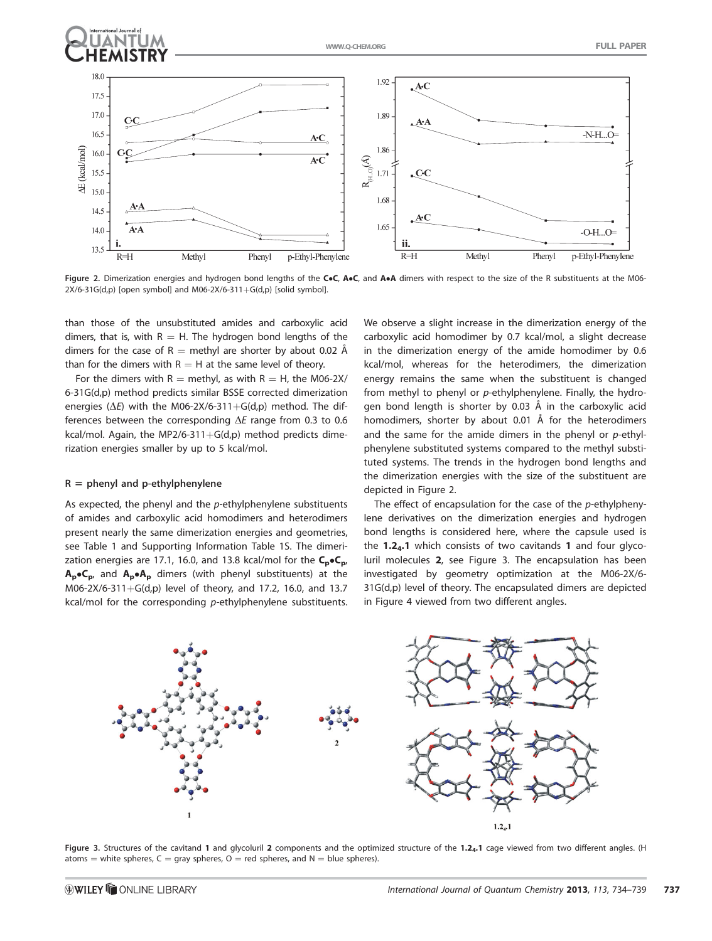

Figure 2. Dimerization energies and hydrogen bond lengths of the CoC, AoC, and AoA dimers with respect to the size of the R substituents at the M06- $2X/6-31G(d,p)$  [open symbol] and M06-2X/6-311+G(d,p) [solid symbol].

than those of the unsubstituted amides and carboxylic acid dimers, that is, with  $R = H$ . The hydrogen bond lengths of the dimers for the case of R  $=$  methyl are shorter by about 0.02 Å than for the dimers with  $R = H$  at the same level of theory.

For the dimers with  $R =$  methyl, as with  $R = H$ , the M06-2X/ 6-31G(d,p) method predicts similar BSSE corrected dimerization energies ( $\Delta E$ ) with the M06-2X/6-311+G(d,p) method. The differences between the corresponding  $\Delta E$  range from 0.3 to 0.6 kcal/mol. Again, the MP2/6-311+ $G(d,p)$  method predicts dimerization energies smaller by up to 5 kcal/mol.

## $R =$  phenyl and p-ethylphenylene

As expected, the phenyl and the  $p$ -ethylphenylene substituents of amides and carboxylic acid homodimers and heterodimers present nearly the same dimerization energies and geometries, see Table 1 and Supporting Information Table 1S. The dimerization energies are 17.1, 16.0, and 13.8 kcal/mol for the  $C_p \cdot C_p$ ,  $A_p \bullet C_p$ , and  $A_p \bullet A_p$  dimers (with phenyl substituents) at the M06-2X/6-311+G(d,p) level of theory, and 17.2, 16.0, and 13.7 kcal/mol for the corresponding p-ethylphenylene substituents.

We observe a slight increase in the dimerization energy of the carboxylic acid homodimer by 0.7 kcal/mol, a slight decrease in the dimerization energy of the amide homodimer by 0.6 kcal/mol, whereas for the heterodimers, the dimerization energy remains the same when the substituent is changed from methyl to phenyl or p-ethylphenylene. Finally, the hydrogen bond length is shorter by 0.03 Å in the carboxylic acid homodimers, shorter by about 0.01  $\AA$  for the heterodimers and the same for the amide dimers in the phenyl or  $p$ -ethylphenylene substituted systems compared to the methyl substituted systems. The trends in the hydrogen bond lengths and the dimerization energies with the size of the substituent are depicted in Figure 2.

The effect of encapsulation for the case of the  $p$ -ethylphenylene derivatives on the dimerization energies and hydrogen bond lengths is considered here, where the capsule used is the  $1.2<sub>4</sub>$ .1 which consists of two cavitands 1 and four glycoluril molecules 2, see Figure 3. The encapsulation has been investigated by geometry optimization at the M06-2X/6- 31G(d,p) level of theory. The encapsulated dimers are depicted in Figure 4 viewed from two different angles.



Figure 3. Structures of the cavitand 1 and glycoluril 2 components and the optimized structure of the 1.24.1 cage viewed from two different angles. (H atoms  $=$  white spheres, C  $=$  gray spheres, O  $=$  red spheres, and N  $=$  blue spheres).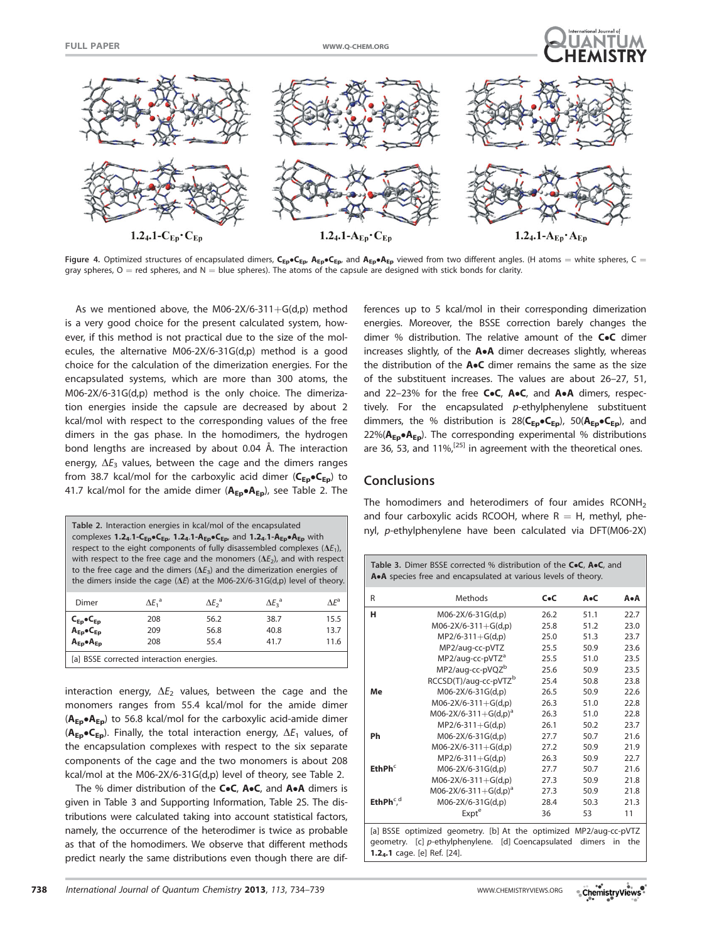



Figure 4. Optimized structures of encapsulated dimers,  $C_{Ep}C_{Ep}$ ,  $A_{Ep}C_{Ep}$  and  $A_{Ep}A_{Ep}$  viewed from two different angles. (H atoms = white spheres, C = gray spheres,  $O =$  red spheres, and  $N =$  blue spheres). The atoms of the capsule are designed with stick bonds for clarity.

As we mentioned above, the M06-2X/6-311+ $G(d,p)$  method is a very good choice for the present calculated system, however, if this method is not practical due to the size of the molecules, the alternative M06-2X/6-31G(d,p) method is a good choice for the calculation of the dimerization energies. For the encapsulated systems, which are more than 300 atoms, the M06-2X/6-31G(d,p) method is the only choice. The dimerization energies inside the capsule are decreased by about 2 kcal/mol with respect to the corresponding values of the free dimers in the gas phase. In the homodimers, the hydrogen bond lengths are increased by about 0.04 Å. The interaction energy,  $\Delta E_3$  values, between the cage and the dimers ranges from 38.7 kcal/mol for the carboxylic acid dimer ( $C_{Ep}$  $\bullet C_{Ep}$ ) to 41.7 kcal/mol for the amide dimer ( $A_{Ep} \bullet A_{Ep}$ ), see Table 2. The

| Table 2. Interaction energies in kcal/mol of the encapsulated<br>complexes $1.2_4.1 - C_{Ep} \cdot C_{Ep}$ , $1.2_4.1 - A_{Ep} \cdot C_{Ep}$ , and $1.2_4.1 - A_{Ep} \cdot A_{Ep}$ with<br>respect to the eight components of fully disassembled complexes $(\Delta E_1)$ ,<br>with respect to the free cage and the monomers $(\Delta E_2)$ , and with respect<br>to the free cage and the dimers ( $\Delta E_3$ ) and the dimerization energies of<br>the dimers inside the cage ( $\Delta E$ ) at the M06-2X/6-31G(d,p) level of theory. |                         |                         |                         |               |  |  |  |
|---------------------------------------------------------------------------------------------------------------------------------------------------------------------------------------------------------------------------------------------------------------------------------------------------------------------------------------------------------------------------------------------------------------------------------------------------------------------------------------------------------------------------------------------|-------------------------|-------------------------|-------------------------|---------------|--|--|--|
| Dimer                                                                                                                                                                                                                                                                                                                                                                                                                                                                                                                                       | $\Delta E_1^{\text{a}}$ | $\Delta E_2^{\text{a}}$ | $\Delta E_3^{\text{a}}$ | $\Lambda E^a$ |  |  |  |
|                                                                                                                                                                                                                                                                                                                                                                                                                                                                                                                                             | 208                     | 56.2                    | 38.7                    | 15.5          |  |  |  |
| $\begin{array}{c} C_{Ep} \bullet C_{Ep} \\ A_{Ep} \bullet C_{Ep} \end{array}$                                                                                                                                                                                                                                                                                                                                                                                                                                                               | 209                     | 56.8                    | 40.8                    | 13.7          |  |  |  |
| $A_{Ep} \bullet A_{Ep}$                                                                                                                                                                                                                                                                                                                                                                                                                                                                                                                     | 208                     | 55.4                    | 41.7                    | 11.6          |  |  |  |
| [a] BSSE corrected interaction energies.                                                                                                                                                                                                                                                                                                                                                                                                                                                                                                    |                         |                         |                         |               |  |  |  |

interaction energy,  $\Delta E_2$  values, between the cage and the monomers ranges from 55.4 kcal/mol for the amide dimer  $(A_{Ep} \bullet A_{Ep})$  to 56.8 kcal/mol for the carboxylic acid-amide dimer  $(A_{Ep} \bullet C_{Ep})$ . Finally, the total interaction energy,  $\Delta E_1$  values, of the encapsulation complexes with respect to the six separate components of the cage and the two monomers is about 208 kcal/mol at the M06-2X/6-31G(d,p) level of theory, see Table 2.

The % dimer distribution of the  $C \bullet C$ ,  $A \bullet C$ , and  $A \bullet A$  dimers is given in Table 3 and Supporting Information, Table 2S. The distributions were calculated taking into account statistical factors, namely, the occurrence of the heterodimer is twice as probable as that of the homodimers. We observe that different methods predict nearly the same distributions even though there are differences up to 5 kcal/mol in their corresponding dimerization energies. Moreover, the BSSE correction barely changes the dimer % distribution. The relative amount of the  $CoC$  dimer increases slightly, of the  $A \cdot A$  dimer decreases slightly, whereas the distribution of the  $A \bullet C$  dimer remains the same as the size of the substituent increases. The values are about 26–27, 51, and 22-23% for the free  $CoC$ ,  $A \bullet C$ , and  $A \bullet A$  dimers, respectively. For the encapsulated  $p$ -ethylphenylene substituent dimmers, the % distribution is  $28(C_{Ep} \bullet C_{Ep})$ ,  $50(A_{Ep} \bullet C_{Ep})$ , and 22%( $A_{Ep}$ • $A_{Ep}$ ). The corresponding experimental % distributions are 36, 53, and  $11\%/^{[25]}$  in agreement with the theoretical ones.

# **Conclusions**

1.24.1 cage. [e] Ref. [24].

The homodimers and heterodimers of four amides RCONH<sub>2</sub> and four carboxylic acids RCOOH, where  $R = H$ , methyl, phenyl, p-ethylphenylene have been calculated via DFT(M06-2X)

Table 3. Dimer BSSE corrected % distribution of the CoC, AoC, and A.A species free and encapsulated at various levels of theory.

| R                      | Methods                                                           | $C \bullet C$ | A.C    | A•A       |
|------------------------|-------------------------------------------------------------------|---------------|--------|-----------|
| н                      | M06-2X/6-31G(d,p)                                                 | 26.2          | 51.1   | 22.7      |
|                        | $M06-2X/6-311+G(d,p)$                                             | 25.8          | 51.2   | 23.0      |
|                        | $MP2/6-311+G(d,p)$                                                | 25.0          | 51.3   | 23.7      |
|                        | MP2/aug-cc-pVTZ                                                   | 25.5          | 50.9   | 23.6      |
|                        | MP2/aug-cc-pVTZ <sup>a</sup>                                      | 25.5          | 51.0   | 23.5      |
|                        | MP2/aug-cc-pVQZ <sup>b</sup>                                      | 25.6          | 50.9   | 23.5      |
|                        | RCCSD(T)/aug-cc-pVTZ <sup>b</sup>                                 | 25.4          | 50.8   | 23.8      |
| Me                     | M06-2X/6-31G(d,p)                                                 | 26.5          | 50.9   | 22.6      |
|                        | $M06-2X/6-311+G(d,p)$                                             | 26.3          | 51.0   | 22.8      |
|                        | $M06 - 2X/6 - 311 + G(d,p)^a$                                     | 26.3          | 51.0   | 22.8      |
|                        | $MP2/6-311+G(d,p)$                                                | 26.1          | 50.2   | 23.7      |
| Ph                     | M06-2X/6-31G(d,p)                                                 | 27.7          | 50.7   | 21.6      |
|                        | $M06-2X/6-311+G(d,p)$                                             | 27.2          | 50.9   | 21.9      |
|                        | $MP2/6-311+G(d,p)$                                                | 26.3          | 50.9   | 22.7      |
| EthPh <sup>c</sup>     | M06-2X/6-31G(d,p)                                                 | 27.7          | 50.7   | 21.6      |
|                        | $M06-2X/6-311+G(d,p)$                                             | 27.3          | 50.9   | 21.8      |
|                        | $M06-2X/6-311+G(d,p)a$                                            | 27.3          | 50.9   | 21.8      |
| EthPh $c$ <sup>d</sup> | M06-2X/6-31G(d,p)                                                 | 28.4          | 50.3   | 21.3      |
|                        | Expte                                                             | 36            | 53     | 11        |
|                        | [a] BSSE optimized geometry. [b] At the optimized MP2/aug-cc-pVTZ |               |        |           |
|                        | geometry. [c] p-ethylphenylene. [d] Coencapsulated                |               | dimers | the<br>in |